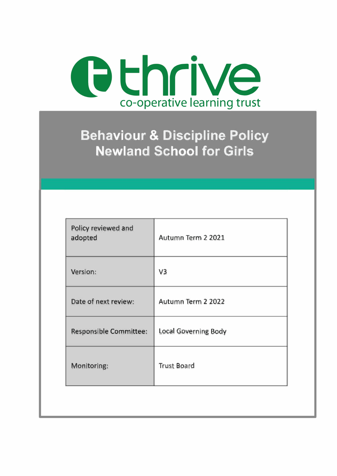

# **Behaviour & Discipline Policy Newland School for Girls**

| Policy reviewed and<br>adopted | Autumn Term 2 2021   |
|--------------------------------|----------------------|
| Version:                       | V <sub>3</sub>       |
| Date of next review:           | Autumn Term 2 2022   |
| Responsible Committee:         | Local Governing Body |
| Monitoring:                    | <b>Trust Board</b>   |
|                                |                      |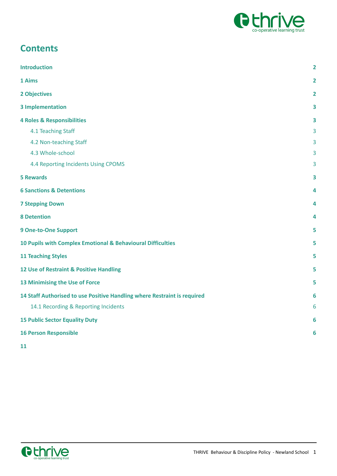

# **Contents**

| <b>Introduction</b>                                                      | $\overline{2}$ |
|--------------------------------------------------------------------------|----------------|
| 1 Aims                                                                   | $\mathbf{2}$   |
| 2 Objectives                                                             | $\overline{2}$ |
| <b>3 Implementation</b>                                                  | 3              |
| <b>4 Roles &amp; Responsibilities</b>                                    | 3              |
| 4.1 Teaching Staff                                                       | 3              |
| 4.2 Non-teaching Staff                                                   | 3              |
| 4.3 Whole-school                                                         | 3              |
| 4.4 Reporting Incidents Using CPOMS                                      | 3              |
| <b>5 Rewards</b>                                                         |                |
| <b>6 Sanctions &amp; Detentions</b>                                      | 4              |
| <b>7 Stepping Down</b>                                                   | 4              |
| <b>8 Detention</b>                                                       | 4              |
| <b>9 One-to-One Support</b>                                              | 5              |
| 10 Pupils with Complex Emotional & Behavioural Difficulties              |                |
| <b>11 Teaching Styles</b>                                                |                |
| 12 Use of Restraint & Positive Handling                                  |                |
| 13 Minimising the Use of Force                                           |                |
| 14 Staff Authorised to use Positive Handling where Restraint is required | 6              |
| 14.1 Recording & Reporting Incidents                                     | 6              |
| <b>15 Public Sector Equality Duty</b>                                    |                |
| <b>16 Person Responsible</b>                                             | 6              |
|                                                                          |                |

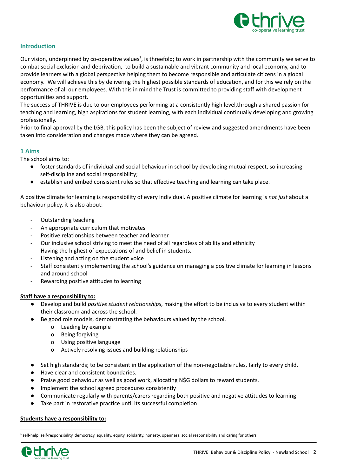

# <span id="page-2-0"></span>**Introduction**

Our vision, underpinned by co-operative values<sup>1</sup>, is threefold; to work in partnership with the community we serve to combat social exclusion and deprivation, to build a sustainable and vibrant community and local economy, and to provide learners with a global perspective helping them to become responsible and articulate citizens in a global economy. We will achieve this by delivering the highest possible standards of education, and for this we rely on the performance of all our employees. With this in mind the Trust is committed to providing staff with development opportunities and support.

The success of THRIVE is due to our employees performing at a consistently high level,through a shared passion for teaching and learning, high aspirations for student learning, with each individual continually developing and growing professionally.

Prior to final approval by the LGB, this policy has been the subject of review and suggested amendments have been taken into consideration and changes made where they can be agreed.

# <span id="page-2-1"></span>**1 Aims**

The school aims to:

- foster standards of individual and social behaviour in school by developing mutual respect, so increasing self-discipline and social responsibility;
- establish and embed consistent rules so that effective teaching and learning can take place.

A positive climate for learning is responsibility of every individual. A positive climate for learning is *not just* about a behaviour policy, it is also about:

- Outstanding teaching
- An appropriate curriculum that motivates
- Positive relationships between teacher and learner
- Our inclusive school striving to meet the need of all regardless of ability and ethnicity
- Having the highest of expectations of and belief in students.
- Listening and acting on the student voice
- Staff consistently implementing the school's guidance on managing a positive climate for learning in lessons and around school
- Rewarding positive attitudes to learning

#### **Staff have a responsibility to:**

- Develop and build *positive student relationships*, making the effort to be inclusive to every student within their classroom and across the school.
- Be good role models, demonstrating the behaviours valued by the school.
	- o Leading by example
	- o Being forgiving
	- o Using positive language
	- o Actively resolving issues and building relationships
- Set high standards; to be consistent in the application of the non-negotiable rules, fairly to every child.
- Have clear and consistent boundaries.
- Praise good behaviour as well as good work, allocating N\$G dollars to reward students.
- Implement the school agreed procedures consistently
- Communicate regularly with parents/carers regarding both positive and negative attitudes to learning
- Take part in restorative practice until its successful completion

#### **Students have a responsibility to:**

<sup>&</sup>lt;sup>1</sup> self-help, self-responsibility, democracy, equality, equity, solidarity, honesty, openness, social responsibility and caring for others

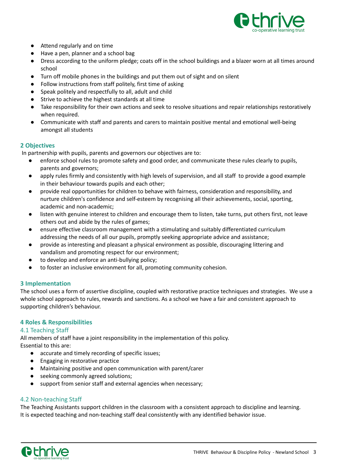

- Attend regularly and on time
- Have a pen, planner and a school bag
- Dress according to the uniform pledge; coats off in the school buildings and a blazer worn at all times around school
- Turn off mobile phones in the buildings and put them out of sight and on silent
- Follow instructions from staff politely, first time of asking
- Speak politely and respectfully to all, adult and child
- Strive to achieve the highest standards at all time
- Take responsibility for their own actions and seek to resolve situations and repair relationships restoratively when required.
- Communicate with staff and parents and carers to maintain positive mental and emotional well-being amongst all students

# <span id="page-3-0"></span>**2 Objectives**

In partnership with pupils, parents and governors our objectives are to:

- enforce school rules to promote safety and good order, and communicate these rules clearly to pupils, parents and governors;
- apply rules firmly and consistently with high levels of supervision, and all staff to provide a good example in their behaviour towards pupils and each other;
- provide real opportunities for children to behave with fairness, consideration and responsibility, and nurture children's confidence and self-esteem by recognising all their achievements, social, sporting, academic and non-academic;
- listen with genuine interest to children and encourage them to listen, take turns, put others first, not leave others out and abide by the rules of games;
- ensure effective classroom management with a stimulating and suitably differentiated curriculum addressing the needs of all our pupils, promptly seeking appropriate advice and assistance;
- provide as interesting and pleasant a physical environment as possible, discouraging littering and vandalism and promoting respect for our environment;
- to develop and enforce an anti-bullying policy;
- to foster an inclusive environment for all, promoting community cohesion.

# <span id="page-3-1"></span>**3 Implementation**

The school uses a form of assertive discipline, coupled with restorative practice techniques and strategies. We use a whole school approach to rules, rewards and sanctions. As a school we have a fair and consistent approach to supporting children's behaviour.

# <span id="page-3-2"></span>**4 Roles & Responsibilities**

# <span id="page-3-3"></span>4.1 Teaching Staff

All members of staff have a joint responsibility in the implementation of this policy. Essential to this are:

- accurate and timely recording of specific issues;
- Engaging in restorative practice
- Maintaining positive and open communication with parent/carer
- seeking commonly agreed solutions;
- support from senior staff and external agencies when necessary;

# <span id="page-3-4"></span>4.2 Non-teaching Staff

The Teaching Assistants support children in the classroom with a consistent approach to discipline and learning. It is expected teaching and non-teaching staff deal consistently with any identified behavior issue.

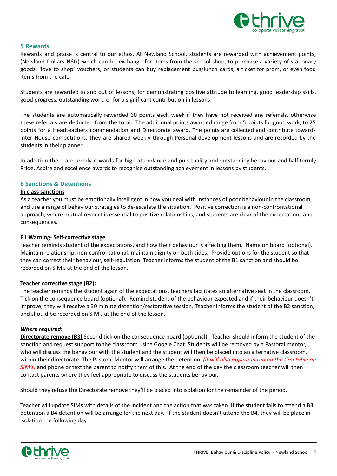

#### <span id="page-4-0"></span>**5 Rewards**

Rewards and praise is central to our ethos. At Newland School, students are rewarded with achievement points, (Newland Dollars N\$G) which can be exchange for items from the school shop, to purchase a variety of stationary goods, 'love to shop' vouchers, or students can buy replacement bus/lunch cards, a ticket for prom, or even food items from the cafe.

Students are rewarded in and out of lessons, for demonstrating positive attitude to learning, good leadership skills, good progress, outstanding work, or for a significant contribution in lessons.

The students are automatically rewarded 60 points each week if they have not received any referrals, otherwise these referrals are deducted from the total. The additional points awarded range from 5 points for good work, to 25 points for a Headteachers commendation and Directorate award. The points are collected and contribute towards inter House competitions, they are shared weekly through Personal development lessons and are recorded by the students in their planner.

In addition there are termly rewards for high attendance and punctuality and outstanding behaviour and half termly Pride, Aspire and excellence awards to recognise outstanding achievement in lessons by students.

#### <span id="page-4-1"></span>**6 Sanctions & Detentions**

#### **In class sanctions**

As a teacher you must be emotionally intelligent in how you deal with instances of poor behaviour in the classroom, and use a range of behaviour strategies to de-escalate the situation. Positive correction is a non-confrontational approach, where mutual respect is essential to positive relationships, and students are clear of the expectations and consequences.

#### **B1 Warning**- **Self-corrective stage**

Teacher reminds student of the expectations, and how their behaviour is affecting them. Name on board (optional). Maintain relationship, non-confrontational, maintain dignity on both sides. Provide options for the student so that they can correct their behaviour, self-regulation. Teacher informs the student of the B1 sanction and should be recorded on SIM's at the end of the lesson.

#### **Teacher corrective stage (B2):**

The teacher reminds the student again of the expectations, teachers facilitates an alternative seat in the classroom. Tick on the consequence board (optional). Remind student of the behaviour expected and if their behaviour doesn't improve, they will receive a 30 minute detention/restorative session. Teacher informs the student of the B2 sanction, and should be recorded on SIM's at the end of the lesson.

#### *Where required*:

**Directorate remove (B3)** Second tick on the consequence board (optional). Teacher should inform the student of the sanction and request support to the classroom using Google Chat. Students will be removed by a Pastoral mentor, who will discuss the behaviour with the student and the student will then be placed into an alternative classroom, within their directorate. The Pastoral Mentor will arrange the detention, *(it will also appear in red on the timetable on SIM's)* and phone or text the parent to notify them of this. At the end of the day the classroom teacher will then contact parents where they feel appropriate to discuss the students behaviour.

Should they refuse the Directorate remove they'll be placed into isolation for the remainder of the period.

Teacher will update SIMs with details of the incident and the action that was taken. If the student fails to attend a B3 detention a B4 detention will be arrange for the next day. If the student doesn't attend the B4, they will be place in isolation the following day.

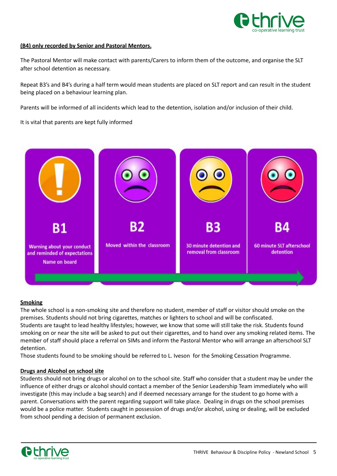

#### **(B4) only recorded by Senior and Pastoral Mentors.**

The Pastoral Mentor will make contact with parents/Carers to inform them of the outcome, and organise the SLT after school detention as necessary.

Repeat B3's and B4's during a half term would mean students are placed on SLT report and can result in the student being placed on a behaviour learning plan.

Parents will be informed of all incidents which lead to the detention, isolation and/or inclusion of their child.

It is vital that parents are kept fully informed

<span id="page-5-0"></span>

#### **Smoking**

The whole school is a non-smoking site and therefore no student, member of staff or visitor should smoke on the premises. Students should not bring cigarettes, matches or lighters to school and will be confiscated. Students are taught to lead healthy lifestyles; however, we know that some will still take the risk. Students found smoking on or near the site will be asked to put out their cigarettes, and to hand over any smoking related items. The member of staff should place a referral on SIMs and inform the Pastoral Mentor who will arrange an afterschool SLT detention.

Those students found to be smoking should be referred to L. Iveson for the Smoking Cessation Programme.

#### **Drugs and Alcohol on school site**

Students should not bring drugs or alcohol on to the school site. Staff who consider that a student may be under the influence of either drugs or alcohol should contact a member of the Senior Leadership Team immediately who will investigate (this may include a bag search) and if deemed necessary arrange for the student to go home with a parent. Conversations with the parent regarding support will take place. Dealing in drugs on the school premises would be a police matter. Students caught in possession of drugs and/or alcohol, using or dealing, will be excluded from school pending a decision of permanent exclusion.

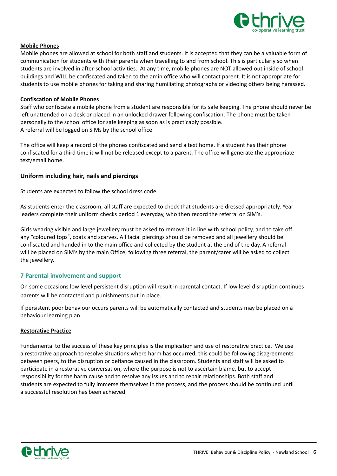

#### **Mobile Phones**

Mobile phones are allowed at school for both staff and students. It is accepted that they can be a valuable form of communication for students with their parents when travelling to and from school. This is particularly so when students are involved in after-school activities. At any time, mobile phones are NOT allowed out inside of school buildings and WILL be confiscated and taken to the amin office who will contact parent. It is not appropriate for students to use mobile phones for taking and sharing humiliating photographs or videoing others being harassed.

#### **Confiscation of Mobile Phones**

Staff who confiscate a mobile phone from a student are responsible for its safe keeping. The phone should never be left unattended on a desk or placed in an unlocked drawer following confiscation. The phone must be taken personally to the school office for safe keeping as soon as is practicably possible. A referral will be logged on SIMs by the school office

The office will keep a record of the phones confiscated and send a text home. If a student has their phone confiscated for a third time it will not be released except to a parent. The office will generate the appropriate text/email home.

# **Uniform including hair, nails and piercings**

Students are expected to follow the school dress code.

As students enter the classroom, all staff are expected to check that students are dressed appropriately. Year leaders complete their uniform checks period 1 everyday, who then record the referral on SIM's.

Girls wearing visible and large jewellery must be asked to remove it in line with school policy, and to take off any "coloured tops", coats and scarves. All facial piercings should be removed and all jewellery should be confiscated and handed in to the main office and collected by the student at the end of the day. A referral will be placed on SIM's by the main Office, following three referral, the parent/carer will be asked to collect the jewellery.

# <span id="page-6-0"></span>**7 Parental involvement and support**

On some occasions low level persistent disruption will result in parental contact. If low level disruption continues parents will be contacted and punishments put in place.

If persistent poor behaviour occurs parents will be automatically contacted and students may be placed on a behaviour learning plan.

#### **Restorative Practice**

Fundamental to the success of these key principles is the implication and use of restorative practice. We use a restorative approach to resolve situations where harm has occurred, this could be following disagreements between peers, to the disruption or defiance caused in the classroom. Students and staff will be asked to participate in a restorative conversation, where the purpose is not to ascertain blame, but to accept responsibility for the harm cause and to resolve any issues and to repair relationships. Both staff and students are expected to fully immerse themselves in the process, and the process should be continued until a successful resolution has been achieved.

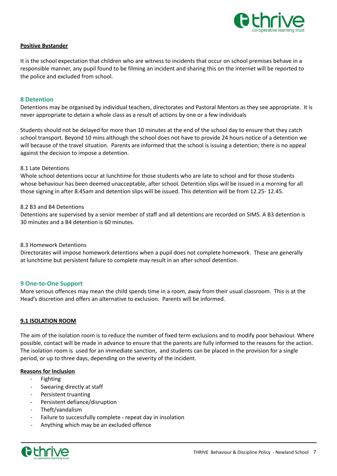

#### **Positive Bystander**

It is the school expectation that children who are witness to incidents that occur on school premises behave in a responsible manner, any pupil found to be filming an incident and sharing this on the internet will be reported to the police and excluded from school.

#### <span id="page-7-0"></span>**8 Detention**

Detentions may be organised by individual teachers, directorates and Pastoral Mentors as they see appropriate. It is never appropriate to detain a whole class as a result of actions by one or a few individuals

Students should not be delayed for more than 10 minutes at the end of the school day to ensure that they catch school transport. Beyond 10 mins although the school does not have to provide 24 hours notice of a detention we will because of the travel situation. Parents are informed that the school is issuing a detention; there is no appeal against the decision to impose a detention.

#### 8.1 Late Detentions

Whole school detentions occur at lunchtime for those students who are late to school and for those students whose behaviour has been deemed unacceptable, after school. Detention slips will be issued in a morning for all those signing in after 8.45am and detention slips will be issued. This detention will be from 12.25- 12.45.

#### 8.2 B3 and B4 Detentions

Detentions are supervised by a senior member of staff and all detentions are recorded on SIMS. A B3 detention is 30 minutes and a B4 detention is 60 minutes.

#### 8.3 Homework Detentions

Directorates will impose homework detentions when a pupil does not complete homework. These are generally at lunchtime but persistent failure to complete may result in an after school detention.

#### <span id="page-7-1"></span>**9 One-to-One Support**

More serious offences may mean the child spends time in a room, away from their usual classroom. This is at the Head's discretion and offers an alternative to exclusion. Parents will be informed.

#### **9.1 ISOLATION ROOM**

The aim of the isolation room is to reduce the number of fixed term exclusions and to modify poor behaviour. Where possible, contact will be made in advance to ensure that the parents are fully informed to the reasons for the action. The isolation room is used for an immediate sanction, and students can be placed in the provision for a single period, or up to three days, depending on the severity of the incident.

#### **Reasons for Inclusion**

- **Fighting**
- Swearing directly at staff
- Persistent truanting
- Persistent defiance/disruption
- Theft/vandalism
- Failure to successfully complete repeat day in insolation
- Anything which may be an excluded offence

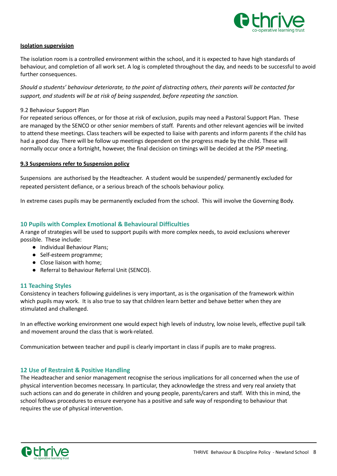

#### **Isolation supervision**

The isolation room is a controlled environment within the school, and it is expected to have high standards of behaviour, and completion of all work set. A log is completed throughout the day, and needs to be successful to avoid further consequences.

Should a students' behaviour deteriorate, to the point of distracting others, their parents will be contacted for *support, and students will be at risk of being suspended, before repeating the sanction.*

# 9.2 Behaviour Support Plan

For repeated serious offences, or for those at risk of exclusion, pupils may need a Pastoral Support Plan. These are managed by the SENCO or other senior members of staff. Parents and other relevant agencies will be invited to attend these meetings. Class teachers will be expected to liaise with parents and inform parents if the child has had a good day. There will be follow up meetings dependent on the progress made by the child. These will normally occur once a fortnight, however, the final decision on timings will be decided at the PSP meeting.

#### **9.3 Suspensions refer to Suspension policy**

Suspensions are authorised by the Headteacher. A student would be suspended/ permanently excluded for repeated persistent defiance, or a serious breach of the schools behaviour policy.

In extreme cases pupils may be permanently excluded from the school. This will involve the Governing Body.

# <span id="page-8-0"></span>**10 Pupils with Complex Emotional & Behavioural Difficulties**

A range of strategies will be used to support pupils with more complex needs, to avoid exclusions wherever possible. These include:

- Individual Behaviour Plans;
- Self-esteem programme;
- Close liaison with home;
- Referral to Behaviour Referral Unit (SENCO).

# <span id="page-8-1"></span>**11 Teaching Styles**

Consistency in teachers following guidelines is very important, as is the organisation of the framework within which pupils may work. It is also true to say that children learn better and behave better when they are stimulated and challenged.

In an effective working environment one would expect high levels of industry, low noise levels, effective pupil talk and movement around the class that is work-related.

Communication between teacher and pupil is clearly important in class if pupils are to make progress.

#### <span id="page-8-2"></span>**12 Use of Restraint & Positive Handling**

The Headteacher and senior management recognise the serious implications for all concerned when the use of physical intervention becomes necessary. In particular, they acknowledge the stress and very real anxiety that such actions can and do generate in children and young people, parents/carers and staff. With this in mind, the school follows procedures to ensure everyone has a positive and safe way of responding to behaviour that requires the use of physical intervention.